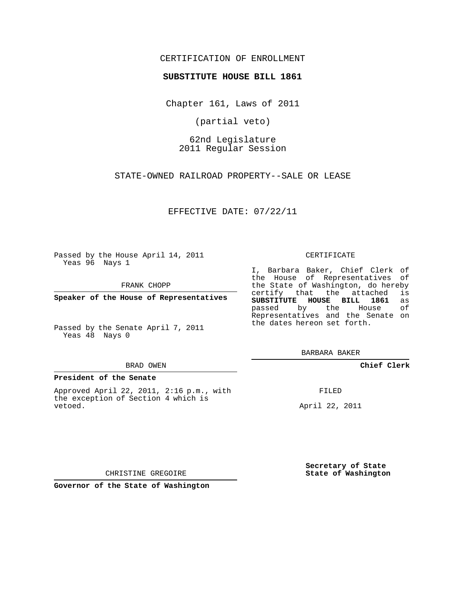## CERTIFICATION OF ENROLLMENT

### **SUBSTITUTE HOUSE BILL 1861**

Chapter 161, Laws of 2011

(partial veto)

62nd Legislature 2011 Regular Session

STATE-OWNED RAILROAD PROPERTY--SALE OR LEASE

EFFECTIVE DATE: 07/22/11

Passed by the House April 14, 2011 Yeas 96 Nays 1

FRANK CHOPP

**Speaker of the House of Representatives**

Passed by the Senate April 7, 2011 Yeas 48 Nays 0

#### BRAD OWEN

#### **President of the Senate**

Approved April 22, 2011, 2:16 p.m., with the exception of Section 4 which is vetoed.

CERTIFICATE

I, Barbara Baker, Chief Clerk of the House of Representatives of the State of Washington, do hereby<br>certify that the attached is certify that the attached **SUBSTITUTE HOUSE BILL 1861** as passed by the House of Representatives and the Senate on the dates hereon set forth.

BARBARA BAKER

**Chief Clerk**

FILED

April 22, 2011

**Secretary of State State of Washington**

CHRISTINE GREGOIRE

**Governor of the State of Washington**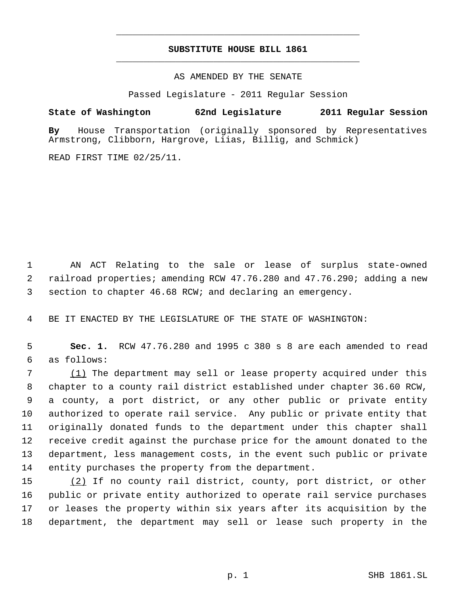# **SUBSTITUTE HOUSE BILL 1861** \_\_\_\_\_\_\_\_\_\_\_\_\_\_\_\_\_\_\_\_\_\_\_\_\_\_\_\_\_\_\_\_\_\_\_\_\_\_\_\_\_\_\_\_\_

\_\_\_\_\_\_\_\_\_\_\_\_\_\_\_\_\_\_\_\_\_\_\_\_\_\_\_\_\_\_\_\_\_\_\_\_\_\_\_\_\_\_\_\_\_

AS AMENDED BY THE SENATE

Passed Legislature - 2011 Regular Session

**State of Washington 62nd Legislature 2011 Regular Session**

**By** House Transportation (originally sponsored by Representatives Armstrong, Clibborn, Hargrove, Liias, Billig, and Schmick)

READ FIRST TIME 02/25/11.

 AN ACT Relating to the sale or lease of surplus state-owned railroad properties; amending RCW 47.76.280 and 47.76.290; adding a new section to chapter 46.68 RCW; and declaring an emergency.

BE IT ENACTED BY THE LEGISLATURE OF THE STATE OF WASHINGTON:

 **Sec. 1.** RCW 47.76.280 and 1995 c 380 s 8 are each amended to read as follows:

 (1) The department may sell or lease property acquired under this chapter to a county rail district established under chapter 36.60 RCW, a county, a port district, or any other public or private entity authorized to operate rail service. Any public or private entity that originally donated funds to the department under this chapter shall receive credit against the purchase price for the amount donated to the department, less management costs, in the event such public or private entity purchases the property from the department.

 (2) If no county rail district, county, port district, or other public or private entity authorized to operate rail service purchases or leases the property within six years after its acquisition by the department, the department may sell or lease such property in the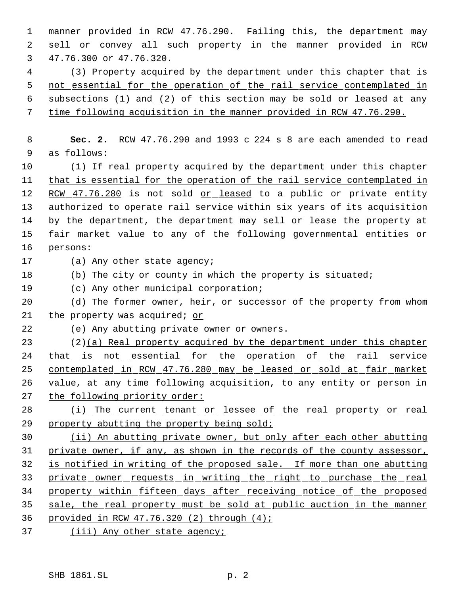manner provided in RCW 47.76.290. Failing this, the department may sell or convey all such property in the manner provided in RCW 47.76.300 or 47.76.320.

 (3) Property acquired by the department under this chapter that is 5 not essential for the operation of the rail service contemplated in subsections (1) and (2) of this section may be sold or leased at any

time following acquisition in the manner provided in RCW 47.76.290.

 **Sec. 2.** RCW 47.76.290 and 1993 c 224 s 8 are each amended to read as follows:

 (1) If real property acquired by the department under this chapter 11 that is essential for the operation of the rail service contemplated in 12 RCW 47.76.280 is not sold or leased to a public or private entity authorized to operate rail service within six years of its acquisition by the department, the department may sell or lease the property at fair market value to any of the following governmental entities or persons:

(a) Any other state agency;

(b) The city or county in which the property is situated;

(c) Any other municipal corporation;

 (d) The former owner, heir, or successor of the property from whom 21 the property was acquired; or

(e) Any abutting private owner or owners.

 (2)(a) Real property acquired by the department under this chapter 24 that is not essential for the operation of the rail service contemplated in RCW 47.76.280 may be leased or sold at fair market 26 value, at any time following acquisition, to any entity or person in 27 the following priority order:

 (i) The current tenant or lessee of the real property or real 29 property abutting the property being sold;

 (ii) An abutting private owner, but only after each other abutting private owner, if any, as shown in the records of the county assessor, is notified in writing of the proposed sale. If more than one abutting 33 private owner requests in writing the right to purchase the real property within fifteen days after receiving notice of the proposed sale, the real property must be sold at public auction in the manner provided in RCW 47.76.320 (2) through (4);

37 (iii) Any other state agency;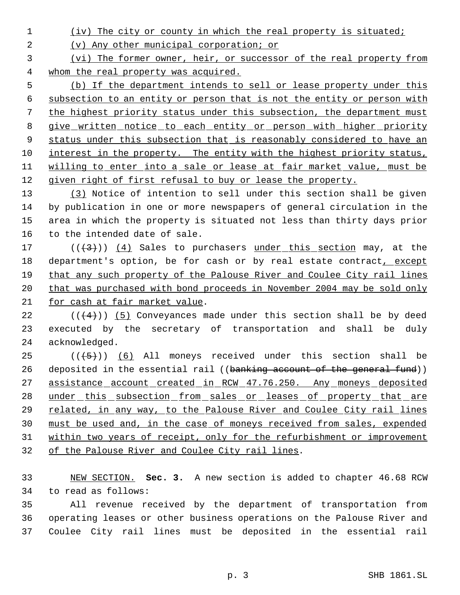(iv) The city or county in which the real property is situated;

(v) Any other municipal corporation; or

 (vi) The former owner, heir, or successor of the real property from whom the real property was acquired.

 (b) If the department intends to sell or lease property under this subsection to an entity or person that is not the entity or person with the highest priority status under this subsection, the department must 8 give written notice to each entity or person with higher priority 9 status under this subsection that is reasonably considered to have an 10 interest in the property. The entity with the highest priority status, willing to enter into a sale or lease at fair market value, must be given right of first refusal to buy or lease the property.

 (3) Notice of intention to sell under this section shall be given by publication in one or more newspapers of general circulation in the area in which the property is situated not less than thirty days prior to the intended date of sale.

17  $((+3))$   $(4)$  Sales to purchasers under this section may, at the 18 department's option, be for cash or by real estate contract, except that any such property of the Palouse River and Coulee City rail lines that was purchased with bond proceeds in November 2004 may be sold only 21 for cash at fair market value.

22  $((+4))$  (5) Conveyances made under this section shall be by deed executed by the secretary of transportation and shall be duly acknowledged.

 $((+5))$  (6) All moneys received under this section shall be 26 deposited in the essential rail ((banking account of the general fund)) 27 assistance account created in RCW 47.76.250. Any moneys deposited 28 under this subsection from sales or leases of property that are related, in any way, to the Palouse River and Coulee City rail lines must be used and, in the case of moneys received from sales, expended within two years of receipt, only for the refurbishment or improvement of the Palouse River and Coulee City rail lines.

 NEW SECTION. **Sec. 3.** A new section is added to chapter 46.68 RCW to read as follows:

 All revenue received by the department of transportation from operating leases or other business operations on the Palouse River and Coulee City rail lines must be deposited in the essential rail